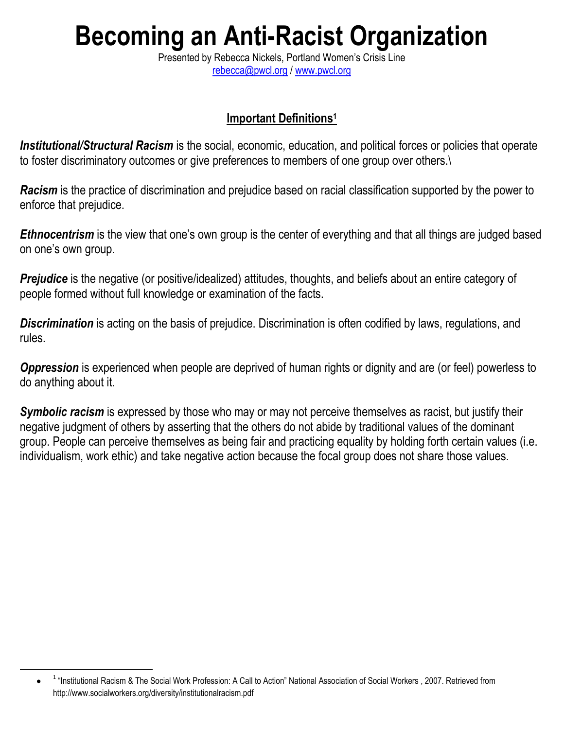## **Becoming an Anti-Racist Organization**

Presented by Rebecca Nickels, Portland Women's Crisis Line [rebecca@pwcl.org](mailto:rebecca@pwcl.org) / [www.pwcl.org](http://www.pwcl.org/)

## **Important Definitions<sup>1</sup>**

*Institutional/Structural Racism* is the social, economic, education, and political forces or policies that operate to foster discriminatory outcomes or give preferences to members of one group over others.\

*Racism* is the practice of discrimination and prejudice based on racial classification supported by the power to enforce that prejudice.

*Ethnocentrism* is the view that one's own group is the center of everything and that all things are judged based on one's own group.

**Prejudice** is the negative (or positive/idealized) attitudes, thoughts, and beliefs about an entire category of people formed without full knowledge or examination of the facts.

**Discrimination** is acting on the basis of prejudice. Discrimination is often codified by laws, regulations, and rules.

*Oppression* is experienced when people are deprived of human rights or dignity and are (or feel) powerless to do anything about it.

**Symbolic racism** is expressed by those who may or may not perceive themselves as racist, but justify their negative judgment of others by asserting that the others do not abide by traditional values of the dominant group. People can perceive themselves as being fair and practicing equality by holding forth certain values (i.e. individualism, work ethic) and take negative action because the focal group does not share those values.

 $\overline{a}$ 

<sup>&</sup>lt;sup>1</sup> "Institutional Racism & The Social Work Profession: A Call to Action" National Association of Social Workers, 2007. Retrieved from http://www.socialworkers.org/diversity/institutionalracism.pdf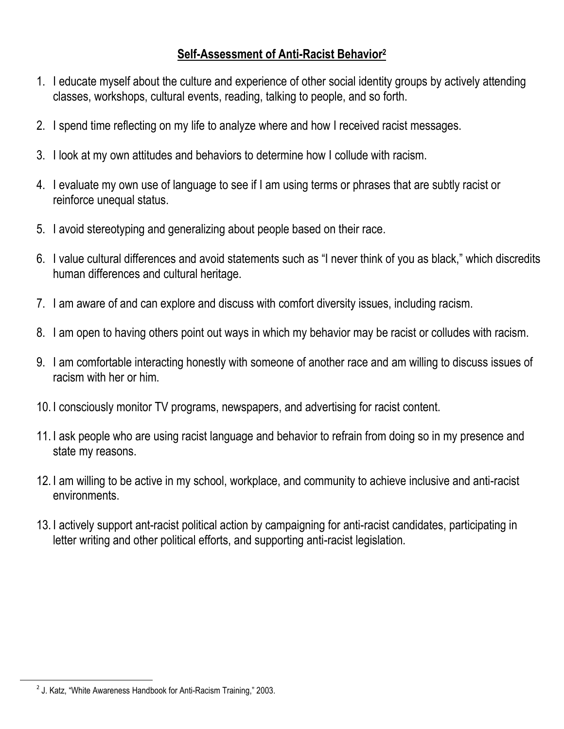## **Self-Assessment of Anti-Racist Behavior<sup>2</sup>**

- 1. I educate myself about the culture and experience of other social identity groups by actively attending classes, workshops, cultural events, reading, talking to people, and so forth.
- 2. I spend time reflecting on my life to analyze where and how I received racist messages.
- 3. I look at my own attitudes and behaviors to determine how I collude with racism.
- 4. I evaluate my own use of language to see if I am using terms or phrases that are subtly racist or reinforce unequal status.
- 5. I avoid stereotyping and generalizing about people based on their race.
- 6. I value cultural differences and avoid statements such as "I never think of you as black," which discredits human differences and cultural heritage.
- 7. I am aware of and can explore and discuss with comfort diversity issues, including racism.
- 8. I am open to having others point out ways in which my behavior may be racist or colludes with racism.
- 9. I am comfortable interacting honestly with someone of another race and am willing to discuss issues of racism with her or him.
- 10. I consciously monitor TV programs, newspapers, and advertising for racist content.
- 11. I ask people who are using racist language and behavior to refrain from doing so in my presence and state my reasons.
- 12. I am willing to be active in my school, workplace, and community to achieve inclusive and anti-racist environments.
- 13. I actively support ant-racist political action by campaigning for anti-racist candidates, participating in letter writing and other political efforts, and supporting anti-racist legislation.

 $\overline{a}$ 

<sup>&</sup>lt;sup>2</sup> J. Katz, "White Awareness Handbook for Anti-Racism Training," 2003.